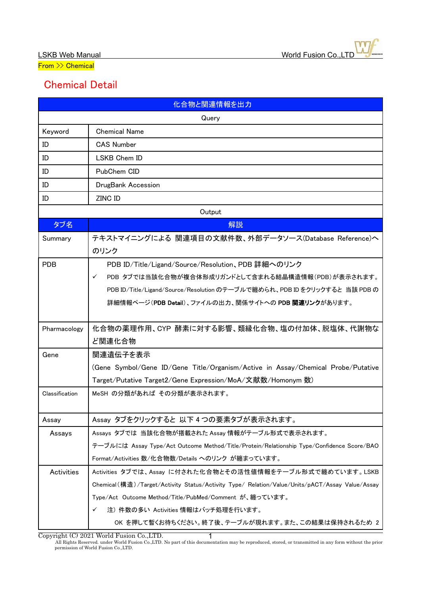From >> Chemical

## Chemical Detail

| 化合物と関連情報を出力    |                                                                                                 |  |
|----------------|-------------------------------------------------------------------------------------------------|--|
| Query          |                                                                                                 |  |
| Keyword        | <b>Chemical Name</b>                                                                            |  |
| ID             | <b>CAS Number</b>                                                                               |  |
| ID             | LSKB Chem ID                                                                                    |  |
| ID             | PubChem CID                                                                                     |  |
| ID             | DrugBank Accession                                                                              |  |
| ID             | ZINC ID                                                                                         |  |
| Output         |                                                                                                 |  |
| タブ名            | 解説                                                                                              |  |
| Summary        | テキストマイニングによる 関連項目の文献件数、外部データソース(Database Reference)へ                                            |  |
|                | のリンク                                                                                            |  |
| <b>PDB</b>     | PDB ID/Title/Ligand/Source/Resolution、PDB 詳細へのリンク                                               |  |
|                | PDB タブでは当該化合物が複合体形成リガンドとして含まれる結晶構造情報(PDB)が表示されます。<br>$\checkmark$                               |  |
|                | PDB ID/Title/Ligand/Source/Resolution のテーブルで纏められ、PDB ID をクリックすると 当該 PDB の                       |  |
|                | 詳細情報ページ(PDB Detail)、ファイルの出力、関係サイトへの PDB 関連リンクがあります。                                             |  |
|                |                                                                                                 |  |
| Pharmacology   | 化合物の薬理作用、CYP 酵素に対する影響、類縁化合物、塩の付加体、脱塩体、代謝物な                                                      |  |
|                | ど関連化合物                                                                                          |  |
| Gene           | 関連遺伝子を表示                                                                                        |  |
|                | (Gene Symbol/Gene ID/Gene Title/Organism/Active in Assay/Chemical Probe/Putative                |  |
|                | Target/Putative Target2/Gene Expression/MoA/文献数/Homonym 数)                                      |  |
| Classification | MeSH の分類があれば その分類が表示されます。                                                                       |  |
|                |                                                                                                 |  |
| Assay          | Assay タブをクリックすると 以下4つの要素タブが表示されます。                                                              |  |
| Assays         | Assays タブでは 当該化合物が搭載された Assay 情報がテーブル形式で表示されます。                                                 |  |
|                | テーブルには Assay Type/Act Outcome Method/Title/Protein/Relationship Type/Confidence Score/BAO       |  |
|                | Format/Activities 数/化合物数/Details へのリンク が纏まっています。                                                |  |
| Activities     | Activities タブでは、Assay に付された化合物とその活性値情報をテーブル形式で纏めています。LSKB                                       |  |
|                | Chemical (構造)/Target/Activity Status/Activity Type/ Relation/Value/Units/pACT/Assay Value/Assay |  |
|                | Type/Act Outcome Method/Title/PubMed/Comment が、纏っています。                                          |  |
|                | 注) 件数の多い Activities 情報はバッチ処理を行います。<br>✓                                                         |  |
|                | OK を押して暫くお待ちください。終了後、テーブルが現れます。また、この結果は保持されるため 2                                                |  |

Copyright (C) 2021 World Fusion Co.,LTD.

All Rights Reserved. under World Fusion Co.,LTD. No part of this documentation may be reproduced, stored, or transmitted in any form without the prior permission of World Fusion Co.,LTD. 1